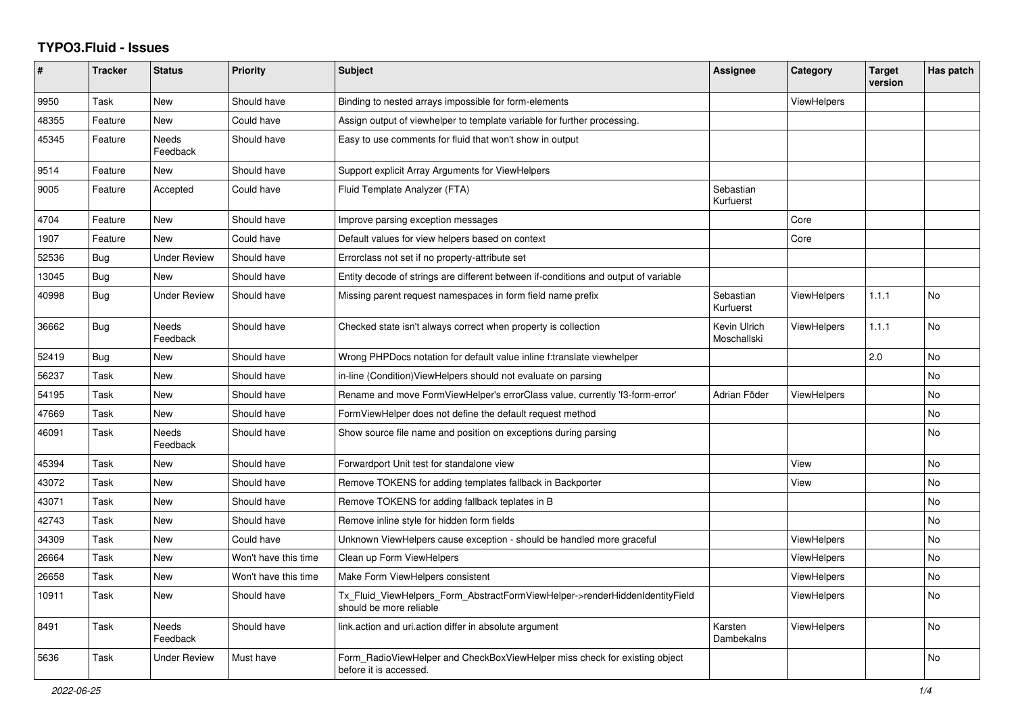## **TYPO3.Fluid - Issues**

| ∦     | <b>Tracker</b> | <b>Status</b>            | <b>Priority</b>      | <b>Subject</b>                                                                                         | Assignee                    | Category           | <b>Target</b><br>version | Has patch |
|-------|----------------|--------------------------|----------------------|--------------------------------------------------------------------------------------------------------|-----------------------------|--------------------|--------------------------|-----------|
| 9950  | Task           | New                      | Should have          | Binding to nested arrays impossible for form-elements                                                  |                             | <b>ViewHelpers</b> |                          |           |
| 48355 | Feature        | New                      | Could have           | Assign output of viewhelper to template variable for further processing.                               |                             |                    |                          |           |
| 45345 | Feature        | Needs<br>Feedback        | Should have          | Easy to use comments for fluid that won't show in output                                               |                             |                    |                          |           |
| 9514  | Feature        | New                      | Should have          | Support explicit Array Arguments for ViewHelpers                                                       |                             |                    |                          |           |
| 9005  | Feature        | Accepted                 | Could have           | Fluid Template Analyzer (FTA)                                                                          | Sebastian<br>Kurfuerst      |                    |                          |           |
| 4704  | Feature        | New                      | Should have          | Improve parsing exception messages                                                                     |                             | Core               |                          |           |
| 1907  | Feature        | <b>New</b>               | Could have           | Default values for view helpers based on context                                                       |                             | Core               |                          |           |
| 52536 | Bug            | <b>Under Review</b>      | Should have          | Errorclass not set if no property-attribute set                                                        |                             |                    |                          |           |
| 13045 | Bug            | New                      | Should have          | Entity decode of strings are different between if-conditions and output of variable                    |                             |                    |                          |           |
| 40998 | Bug            | Under Review             | Should have          | Missing parent request namespaces in form field name prefix                                            | Sebastian<br>Kurfuerst      | <b>ViewHelpers</b> | 1.1.1                    | No        |
| 36662 | Bug            | <b>Needs</b><br>Feedback | Should have          | Checked state isn't always correct when property is collection                                         | Kevin Ulrich<br>Moschallski | <b>ViewHelpers</b> | 1.1.1                    | <b>No</b> |
| 52419 | Bug            | New                      | Should have          | Wrong PHPDocs notation for default value inline f:translate viewhelper                                 |                             |                    | 2.0                      | <b>No</b> |
| 56237 | Task           | New                      | Should have          | in-line (Condition)ViewHelpers should not evaluate on parsing                                          |                             |                    |                          | <b>No</b> |
| 54195 | Task           | New                      | Should have          | Rename and move FormViewHelper's errorClass value, currently 'f3-form-error'                           | Adrian Föder                | <b>ViewHelpers</b> |                          | <b>No</b> |
| 47669 | Task           | New                      | Should have          | FormViewHelper does not define the default request method                                              |                             |                    |                          | No        |
| 46091 | Task           | Needs<br>Feedback        | Should have          | Show source file name and position on exceptions during parsing                                        |                             |                    |                          | <b>No</b> |
| 45394 | Task           | <b>New</b>               | Should have          | Forwardport Unit test for standalone view                                                              |                             | View               |                          | <b>No</b> |
| 43072 | Task           | <b>New</b>               | Should have          | Remove TOKENS for adding templates fallback in Backporter                                              |                             | View               |                          | <b>No</b> |
| 43071 | Task           | New                      | Should have          | Remove TOKENS for adding fallback teplates in B                                                        |                             |                    |                          | <b>No</b> |
| 42743 | Task           | New                      | Should have          | Remove inline style for hidden form fields                                                             |                             |                    |                          | No        |
| 34309 | Task           | New                      | Could have           | Unknown ViewHelpers cause exception - should be handled more graceful                                  |                             | <b>ViewHelpers</b> |                          | No        |
| 26664 | Task           | <b>New</b>               | Won't have this time | Clean up Form ViewHelpers                                                                              |                             | <b>ViewHelpers</b> |                          | No        |
| 26658 | Task           | New                      | Won't have this time | Make Form ViewHelpers consistent                                                                       |                             | <b>ViewHelpers</b> |                          | <b>No</b> |
| 10911 | Task           | New                      | Should have          | Tx Fluid ViewHelpers Form AbstractFormViewHelper->renderHiddenIdentityField<br>should be more reliable |                             | ViewHelpers        |                          | <b>No</b> |
| 8491  | Task           | <b>Needs</b><br>Feedback | Should have          | link.action and uri.action differ in absolute argument                                                 | Karsten<br>Dambekalns       | <b>ViewHelpers</b> |                          | <b>No</b> |
| 5636  | Task           | Under Review             | Must have            | Form_RadioViewHelper and CheckBoxViewHelper miss check for existing object<br>before it is accessed.   |                             |                    |                          | <b>No</b> |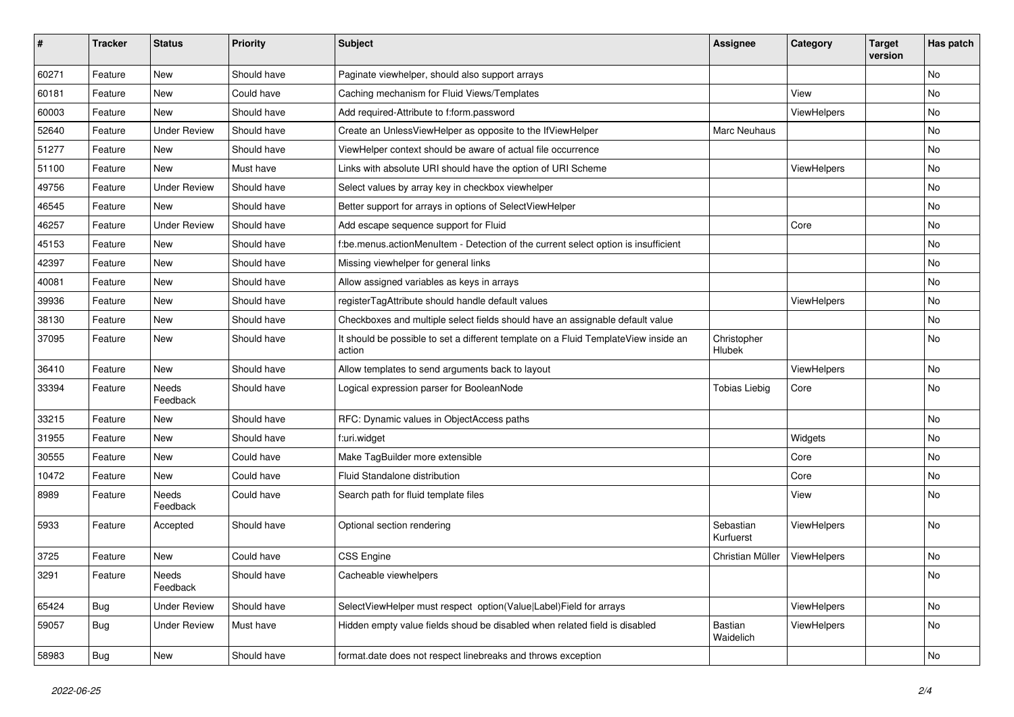| #     | <b>Tracker</b> | <b>Status</b>       | <b>Priority</b> | Subject                                                                                       | <b>Assignee</b>        | Category    | <b>Target</b><br>version | Has patch |
|-------|----------------|---------------------|-----------------|-----------------------------------------------------------------------------------------------|------------------------|-------------|--------------------------|-----------|
| 60271 | Feature        | <b>New</b>          | Should have     | Paginate viewhelper, should also support arrays                                               |                        |             |                          | No        |
| 60181 | Feature        | New                 | Could have      | Caching mechanism for Fluid Views/Templates                                                   |                        | View        |                          | No        |
| 60003 | Feature        | New                 | Should have     | Add required-Attribute to f:form.password                                                     |                        | ViewHelpers |                          | No        |
| 52640 | Feature        | <b>Under Review</b> | Should have     | Create an UnlessViewHelper as opposite to the IfViewHelper                                    | Marc Neuhaus           |             |                          | No        |
| 51277 | Feature        | New                 | Should have     | ViewHelper context should be aware of actual file occurrence                                  |                        |             |                          | No        |
| 51100 | Feature        | New                 | Must have       | Links with absolute URI should have the option of URI Scheme                                  |                        | ViewHelpers |                          | No        |
| 49756 | Feature        | <b>Under Review</b> | Should have     | Select values by array key in checkbox viewhelper                                             |                        |             |                          | No        |
| 46545 | Feature        | New                 | Should have     | Better support for arrays in options of SelectViewHelper                                      |                        |             |                          | No        |
| 46257 | Feature        | <b>Under Review</b> | Should have     | Add escape sequence support for Fluid                                                         |                        | Core        |                          | No        |
| 45153 | Feature        | New                 | Should have     | f:be.menus.actionMenuItem - Detection of the current select option is insufficient            |                        |             |                          | No        |
| 42397 | Feature        | <b>New</b>          | Should have     | Missing viewhelper for general links                                                          |                        |             |                          | <b>No</b> |
| 40081 | Feature        | New                 | Should have     | Allow assigned variables as keys in arrays                                                    |                        |             |                          | No        |
| 39936 | Feature        | New                 | Should have     | registerTagAttribute should handle default values                                             |                        | ViewHelpers |                          | No        |
| 38130 | Feature        | <b>New</b>          | Should have     | Checkboxes and multiple select fields should have an assignable default value                 |                        |             |                          | No        |
| 37095 | Feature        | New                 | Should have     | It should be possible to set a different template on a Fluid TemplateView inside an<br>action | Christopher<br>Hlubek  |             |                          | No        |
| 36410 | Feature        | New                 | Should have     | Allow templates to send arguments back to layout                                              |                        | ViewHelpers |                          | No        |
| 33394 | Feature        | Needs<br>Feedback   | Should have     | Logical expression parser for BooleanNode                                                     | <b>Tobias Liebig</b>   | Core        |                          | No        |
| 33215 | Feature        | New                 | Should have     | RFC: Dynamic values in ObjectAccess paths                                                     |                        |             |                          | No        |
| 31955 | Feature        | New                 | Should have     | f:uri.widget                                                                                  |                        | Widgets     |                          | No        |
| 30555 | Feature        | <b>New</b>          | Could have      | Make TagBuilder more extensible                                                               |                        | Core        |                          | No        |
| 10472 | Feature        | New                 | Could have      | Fluid Standalone distribution                                                                 |                        | Core        |                          | No        |
| 8989  | Feature        | Needs<br>Feedback   | Could have      | Search path for fluid template files                                                          |                        | View        |                          | No        |
| 5933  | Feature        | Accepted            | Should have     | Optional section rendering                                                                    | Sebastian<br>Kurfuerst | ViewHelpers |                          | <b>No</b> |
| 3725  | Feature        | New                 | Could have      | CSS Engine                                                                                    | Christian Müller       | ViewHelpers |                          | No        |
| 3291  | Feature        | Needs<br>Feedback   | Should have     | Cacheable viewhelpers                                                                         |                        |             |                          | <b>NO</b> |
| 65424 | Bug            | <b>Under Review</b> | Should have     | SelectViewHelper must respect option(Value Label)Field for arrays                             |                        | ViewHelpers |                          | No        |
| 59057 | Bug            | <b>Under Review</b> | Must have       | Hidden empty value fields shoud be disabled when related field is disabled                    | Bastian<br>Waidelich   | ViewHelpers |                          | No        |
| 58983 | <b>Bug</b>     | New                 | Should have     | format.date does not respect linebreaks and throws exception                                  |                        |             |                          | No        |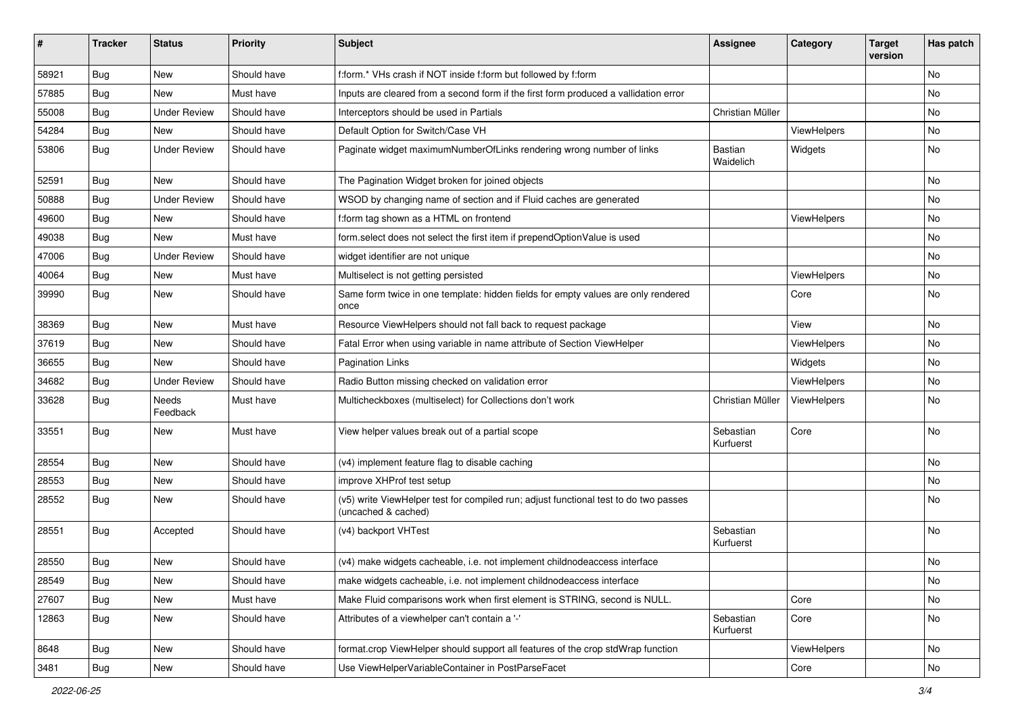| #     | <b>Tracker</b> | <b>Status</b>       | <b>Priority</b> | Subject                                                                                                     | <b>Assignee</b>        | Category    | <b>Target</b><br>version | Has patch |
|-------|----------------|---------------------|-----------------|-------------------------------------------------------------------------------------------------------------|------------------------|-------------|--------------------------|-----------|
| 58921 | Bug            | New                 | Should have     | f:form.* VHs crash if NOT inside f:form but followed by f:form                                              |                        |             |                          | <b>No</b> |
| 57885 | Bug            | <b>New</b>          | Must have       | Inputs are cleared from a second form if the first form produced a vallidation error                        |                        |             |                          | No        |
| 55008 | Bug            | <b>Under Review</b> | Should have     | Interceptors should be used in Partials                                                                     | Christian Müller       |             |                          | No        |
| 54284 | Bug            | <b>New</b>          | Should have     | Default Option for Switch/Case VH                                                                           |                        | ViewHelpers |                          | No        |
| 53806 | Bug            | <b>Under Review</b> | Should have     | Paginate widget maximumNumberOfLinks rendering wrong number of links                                        | Bastian<br>Waidelich   | Widgets     |                          | <b>No</b> |
| 52591 | Bug            | New                 | Should have     | The Pagination Widget broken for joined objects                                                             |                        |             |                          | No        |
| 50888 | Bug            | <b>Under Review</b> | Should have     | WSOD by changing name of section and if Fluid caches are generated                                          |                        |             |                          | <b>No</b> |
| 49600 | Bug            | New                 | Should have     | f:form tag shown as a HTML on frontend                                                                      |                        | ViewHelpers |                          | No        |
| 49038 | Bug            | <b>New</b>          | Must have       | form select does not select the first item if prependOptionValue is used                                    |                        |             |                          | No        |
| 47006 | Bug            | <b>Under Review</b> | Should have     | widget identifier are not unique                                                                            |                        |             |                          | No        |
| 40064 | Bug            | New                 | Must have       | Multiselect is not getting persisted                                                                        |                        | ViewHelpers |                          | No        |
| 39990 | Bug            | New                 | Should have     | Same form twice in one template: hidden fields for empty values are only rendered<br>once                   |                        | Core        |                          | <b>No</b> |
| 38369 | Bug            | New                 | Must have       | Resource ViewHelpers should not fall back to request package                                                |                        | View        |                          | No        |
| 37619 | Bug            | New                 | Should have     | Fatal Error when using variable in name attribute of Section ViewHelper                                     |                        | ViewHelpers |                          | No        |
| 36655 | Bug            | <b>New</b>          | Should have     | <b>Pagination Links</b>                                                                                     |                        | Widgets     |                          | <b>No</b> |
| 34682 | Bug            | <b>Under Review</b> | Should have     | Radio Button missing checked on validation error                                                            |                        | ViewHelpers |                          | No        |
| 33628 | Bug            | Needs<br>Feedback   | Must have       | Multicheckboxes (multiselect) for Collections don't work                                                    | Christian Müller       | ViewHelpers |                          | <b>No</b> |
| 33551 | Bug            | New                 | Must have       | View helper values break out of a partial scope                                                             | Sebastian<br>Kurfuerst | Core        |                          | <b>No</b> |
| 28554 | Bug            | New                 | Should have     | (v4) implement feature flag to disable caching                                                              |                        |             |                          | No        |
| 28553 | Bug            | New                 | Should have     | improve XHProf test setup                                                                                   |                        |             |                          | No        |
| 28552 | Bug            | New                 | Should have     | (v5) write ViewHelper test for compiled run; adjust functional test to do two passes<br>(uncached & cached) |                        |             |                          | <b>No</b> |
| 28551 | Bug            | Accepted            | Should have     | (v4) backport VHTest                                                                                        | Sebastian<br>Kurfuerst |             |                          | <b>No</b> |
| 28550 | Bug            | New                 | Should have     | (v4) make widgets cacheable, i.e. not implement childnodeaccess interface                                   |                        |             |                          | No        |
| 28549 | Bug            | New                 | Should have     | make widgets cacheable, i.e. not implement childnodeaccess interface                                        |                        |             |                          | No        |
| 27607 | Bug            | New                 | Must have       | Make Fluid comparisons work when first element is STRING, second is NULL.                                   |                        | Core        |                          | No        |
| 12863 | Bug            | New                 | Should have     | Attributes of a viewhelper can't contain a '-'                                                              | Sebastian<br>Kurfuerst | Core        |                          | No        |
| 8648  | Bug            | New                 | Should have     | format.crop ViewHelper should support all features of the crop stdWrap function                             |                        | ViewHelpers |                          | No        |
| 3481  | <b>Bug</b>     | New                 | Should have     | Use ViewHelperVariableContainer in PostParseFacet                                                           |                        | Core        |                          | No        |